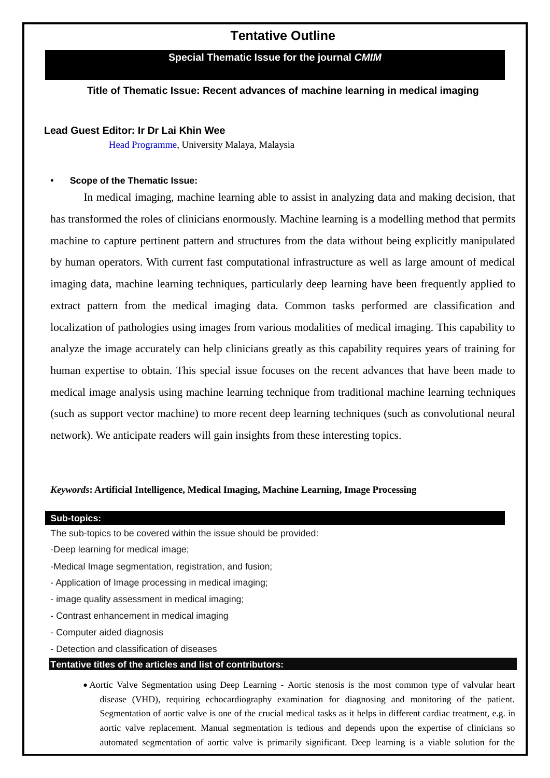# **Tentative Outline**

## **Special Thematic Issue for the journal** *CMIM*

#### **Title of Thematic Issue: Recent advances of machine learning in medical imaging**

#### **Lead Guest Editor: Ir Dr Lai Khin Wee**

Head Programme, University Malaya, Malaysia

## **• Scope of the Thematic Issue:**

In medical imaging, machine learning able to assist in analyzing data and making decision, that has transformed the roles of clinicians enormously. Machine learning is a modelling method that permits machine to capture pertinent pattern and structures from the data without being explicitly manipulated by human operators. With current fast computational infrastructure as well as large amount of medical imaging data, machine learning techniques, particularly deep learning have been frequently applied to extract pattern from the medical imaging data. Common tasks performed are classification and localization of pathologies using images from various modalities of medical imaging. This capability to analyze the image accurately can help clinicians greatly as this capability requires years of training for human expertise to obtain. This special issue focuses on the recent advances that have been made to medical image analysis using machine learning technique from traditional machine learning techniques (such as support vector machine) to more recent deep learning techniques (such as convolutional neural network). We anticipate readers will gain insights from these interesting topics.

#### *Keywords***: Artificial Intelligence, Medical Imaging, Machine Learning, Image Processing**

#### **Sub-topics:**

The sub-topics to be covered within the issue should be provided:

-Deep learning for medical image;

- -Medical Image segmentation, registration, and fusion;
- Application of Image processing in medical imaging;
- image quality assessment in medical imaging;
- Contrast enhancement in medical imaging
- Computer aided diagnosis
- Detection and classification of diseases

#### **Tentative titles of the articles and list of contributors:**

 Aortic Valve Segmentation using Deep Learning - Aortic stenosis is the most common type of valvular heart disease (VHD), requiring echocardiography examination for diagnosing and monitoring of the patient. Segmentation of aortic valve is one of the crucial medical tasks as it helps in different cardiac treatment, e.g. in aortic valve replacement. Manual segmentation is tedious and depends upon the expertise of clinicians so automated segmentation of aortic valve is primarily significant. Deep learning is a viable solution for the